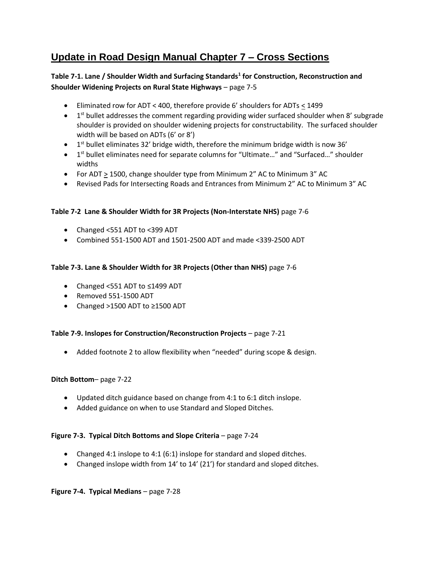# **Update in Road Design Manual Chapter 7 – Cross Sections**

## **Table 7-1. Lane / Shoulder Width and Surfacing Standards<sup>1</sup> for Construction, Reconstruction and Shoulder Widening Projects on Rural State Highways** – page 7-5

- Eliminated row for ADT < 400, therefore provide 6' shoulders for ADTs < 1499
- $\bullet$  1<sup>st</sup> bullet addresses the comment regarding providing wider surfaced shoulder when 8' subgrade shoulder is provided on shoulder widening projects for constructability. The surfaced shoulder width will be based on ADTs (6' or 8')
- $\bullet$  1<sup>st</sup> bullet eliminates 32' bridge width, therefore the minimum bridge width is now 36'
- 1<sup>st</sup> bullet eliminates need for separate columns for "Ultimate..." and "Surfaced..." shoulder widths
- For ADT > 1500, change shoulder type from Minimum 2" AC to Minimum 3" AC
- Revised Pads for Intersecting Roads and Entrances from Minimum 2" AC to Minimum 3" AC

### **Table 7-2 Lane & Shoulder Width for 3R Projects (Non-Interstate NHS)** page 7-6

- Changed <551 ADT to <399 ADT
- Combined 551-1500 ADT and 1501-2500 ADT and made <339-2500 ADT

### **Table 7-3. Lane & Shoulder Width for 3R Projects (Other than NHS)** page 7-6

- Changed <551 ADT to ≤1499 ADT
- Removed 551-1500 ADT
- Changed >1500 ADT to ≥1500 ADT

### **Table 7-9. Inslopes for Construction/Reconstruction Projects** – page 7-21

• Added footnote 2 to allow flexibility when "needed" during scope & design.

### **Ditch Bottom**– page 7-22

- Updated ditch guidance based on change from 4:1 to 6:1 ditch inslope.
- Added guidance on when to use Standard and Sloped Ditches.

### **Figure 7-3. Typical Ditch Bottoms and Slope Criteria** – page 7-24

- Changed 4:1 inslope to 4:1 (6:1) inslope for standard and sloped ditches.
- Changed inslope width from 14' to 14' (21') for standard and sloped ditches.

### **Figure 7-4. Typical Medians** – page 7-28